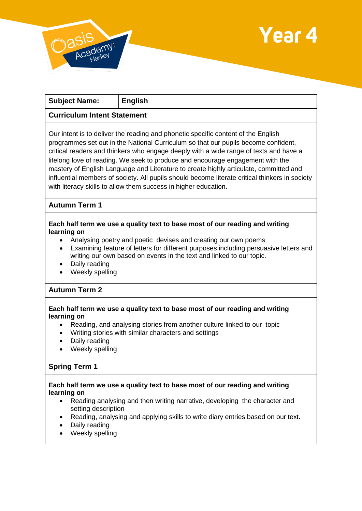



| <b>Subject Name:</b>                                                                                                                                                                                                                                                                                                                  | <b>English</b>                                                                                                                                                                                                                                                                                                                                                                                                                                                                                                                                                                                                   |
|---------------------------------------------------------------------------------------------------------------------------------------------------------------------------------------------------------------------------------------------------------------------------------------------------------------------------------------|------------------------------------------------------------------------------------------------------------------------------------------------------------------------------------------------------------------------------------------------------------------------------------------------------------------------------------------------------------------------------------------------------------------------------------------------------------------------------------------------------------------------------------------------------------------------------------------------------------------|
| <b>Curriculum Intent Statement</b>                                                                                                                                                                                                                                                                                                    |                                                                                                                                                                                                                                                                                                                                                                                                                                                                                                                                                                                                                  |
|                                                                                                                                                                                                                                                                                                                                       | Our intent is to deliver the reading and phonetic specific content of the English<br>programmes set out in the National Curriculum so that our pupils become confident,<br>critical readers and thinkers who engage deeply with a wide range of texts and have a<br>lifelong love of reading. We seek to produce and encourage engagement with the<br>mastery of English Language and Literature to create highly articulate, committed and<br>influential members of society. All pupils should become literate critical thinkers in society<br>with literacy skills to allow them success in higher education. |
| <b>Autumn Term 1</b>                                                                                                                                                                                                                                                                                                                  |                                                                                                                                                                                                                                                                                                                                                                                                                                                                                                                                                                                                                  |
| learning on<br>$\bullet$<br>Daily reading<br>Weekly spelling                                                                                                                                                                                                                                                                          | Each half term we use a quality text to base most of our reading and writing<br>Analysing poetry and poetic devises and creating our own poems<br>Examining feature of letters for different purposes including persuasive letters and<br>writing our own based on events in the text and linked to our topic.                                                                                                                                                                                                                                                                                                   |
| <b>Autumn Term 2</b>                                                                                                                                                                                                                                                                                                                  |                                                                                                                                                                                                                                                                                                                                                                                                                                                                                                                                                                                                                  |
| learning on<br>$\bullet$<br>Daily reading<br>Weekly spelling                                                                                                                                                                                                                                                                          | Each half term we use a quality text to base most of our reading and writing<br>Reading, and analysing stories from another culture linked to our topic<br>Writing stories with similar characters and settings                                                                                                                                                                                                                                                                                                                                                                                                  |
| <b>Spring Term 1</b>                                                                                                                                                                                                                                                                                                                  |                                                                                                                                                                                                                                                                                                                                                                                                                                                                                                                                                                                                                  |
| Each half term we use a quality text to base most of our reading and writing<br>learning on<br>Reading analysing and then writing narrative, developing the character and<br>$\bullet$<br>setting description<br>Reading, analysing and applying skills to write diary entries based on our text.<br>Daily reading<br>Weekly spelling |                                                                                                                                                                                                                                                                                                                                                                                                                                                                                                                                                                                                                  |